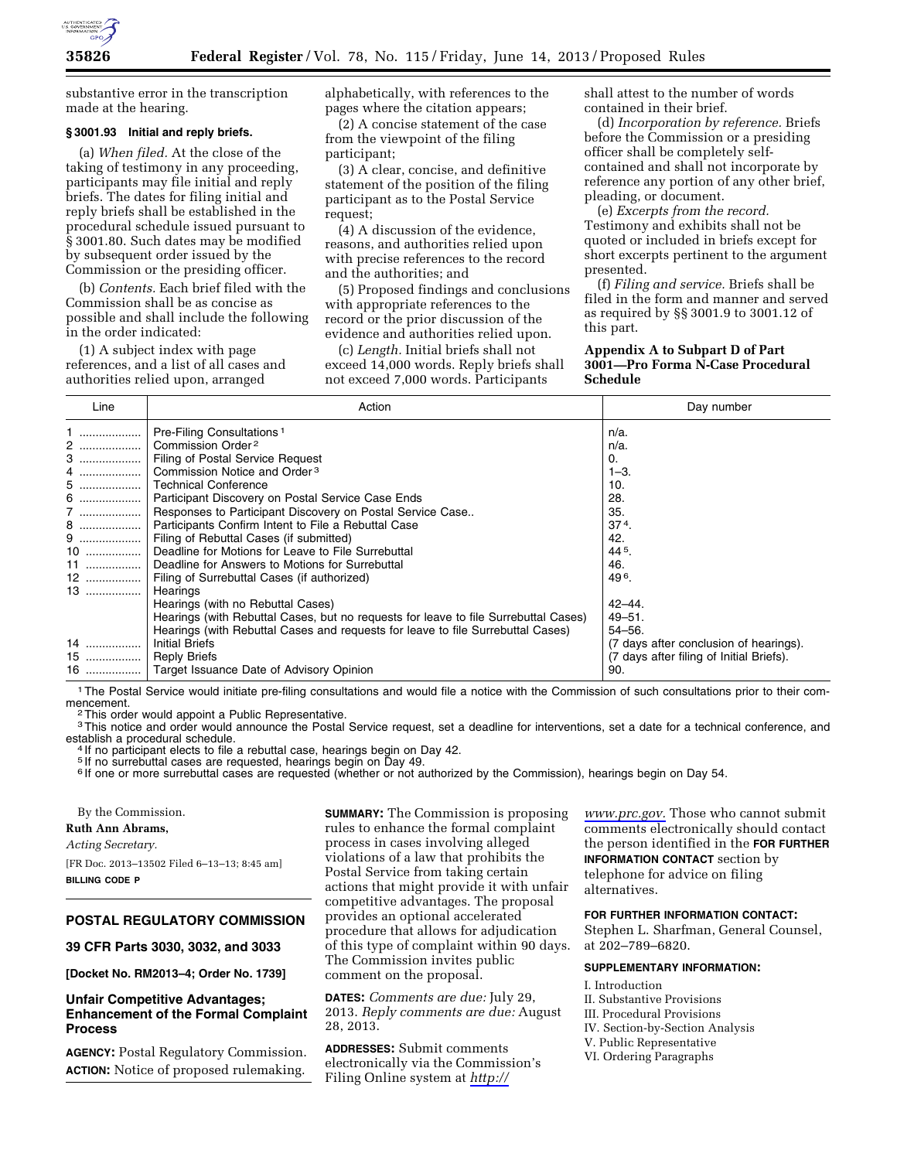

substantive error in the transcription made at the hearing.

#### **§ 3001.93 Initial and reply briefs.**

(a) *When filed.* At the close of the taking of testimony in any proceeding, participants may file initial and reply briefs. The dates for filing initial and reply briefs shall be established in the procedural schedule issued pursuant to § 3001.80. Such dates may be modified by subsequent order issued by the Commission or the presiding officer.

(b) *Contents.* Each brief filed with the Commission shall be as concise as possible and shall include the following in the order indicated:

(1) A subject index with page references, and a list of all cases and authorities relied upon, arranged

alphabetically, with references to the pages where the citation appears;

(2) A concise statement of the case from the viewpoint of the filing participant;

(3) A clear, concise, and definitive statement of the position of the filing participant as to the Postal Service request;

(4) A discussion of the evidence, reasons, and authorities relied upon with precise references to the record and the authorities; and

(5) Proposed findings and conclusions with appropriate references to the record or the prior discussion of the evidence and authorities relied upon.

(c) *Length.* Initial briefs shall not exceed 14,000 words. Reply briefs shall not exceed 7,000 words. Participants

shall attest to the number of words contained in their brief.

(d) *Incorporation by reference.* Briefs before the Commission or a presiding officer shall be completely selfcontained and shall not incorporate by reference any portion of any other brief, pleading, or document.

(e) *Excerpts from the record.*  Testimony and exhibits shall not be quoted or included in briefs except for short excerpts pertinent to the argument presented.

(f) *Filing and service.* Briefs shall be filed in the form and manner and served as required by §§ 3001.9 to 3001.12 of this part.

### **Appendix A to Subpart D of Part 3001—Pro Forma N-Case Procedural Schedule**

| Line | Action                                                                              | Day number                               |
|------|-------------------------------------------------------------------------------------|------------------------------------------|
|      | Pre-Filing Consultations <sup>1</sup>                                               | $n/a$ .                                  |
| 2    | Commission Order <sup>2</sup>                                                       | $n/a$ .                                  |
| 3    | Filing of Postal Service Request                                                    | 0.                                       |
|      | Commission Notice and Order <sup>3</sup>                                            | $1 - 3$ .                                |
| 5    | <b>Technical Conference</b>                                                         | 10.                                      |
|      | Participant Discovery on Postal Service Case Ends                                   | 28.                                      |
|      | Responses to Participant Discovery on Postal Service Case                           | 35.                                      |
| 8 !  | Participants Confirm Intent to File a Rebuttal Case                                 | $374$ .                                  |
|      | Filing of Rebuttal Cases (if submitted)                                             | 42.                                      |
| 10   | Deadline for Motions for Leave to File Surrebuttal                                  | $44^{5}$ .                               |
|      | Deadline for Answers to Motions for Surrebuttal                                     | 46.                                      |
| 12   | Filing of Surrebuttal Cases (if authorized)                                         | 49 <sup>6</sup> .                        |
| 13   | Hearings                                                                            |                                          |
|      | Hearings (with no Rebuttal Cases)                                                   | $42 - 44$ .                              |
|      | Hearings (with Rebuttal Cases, but no requests for leave to file Surrebuttal Cases) | $49 - 51$ .                              |
|      | Hearings (with Rebuttal Cases and requests for leave to file Surrebuttal Cases)     | $54 - 56.$                               |
| 14   | Initial Briefs                                                                      | (7 days after conclusion of hearings).   |
| $15$ | <b>Reply Briefs</b>                                                                 | (7 days after filing of Initial Briefs). |
|      | 16    Target Issuance Date of Advisory Opinion                                      | 90.                                      |

<sup>1</sup> The Postal Service would initiate pre-filing consultations and would file a notice with the Commission of such consultations prior to their com-<br>mencement.

<sup>2</sup> This order would appoint a Public Representative.

<sup>3</sup>This notice and order would announce the Postal Service request, set a deadline for interventions, set a date for a technical conference, and establish a procedural schedule.

If no participant elects to file a rebuttal case, hearings begin on Day 42.

<sup>5</sup> If no surrebuttal cases are requested, hearings begin on Day 49.

<sup>6</sup> If one or more surrebuttal cases are requested (whether or not authorized by the Commission), hearings begin on Day 54.

By the Commission.

#### **Ruth Ann Abrams,**

*Acting Secretary.* 

[FR Doc. 2013–13502 Filed 6–13–13; 8:45 am] **BILLING CODE P** 

# **POSTAL REGULATORY COMMISSION**

**39 CFR Parts 3030, 3032, and 3033** 

**[Docket No. RM2013–4; Order No. 1739]** 

# **Unfair Competitive Advantages; Enhancement of the Formal Complaint Process**

**AGENCY:** Postal Regulatory Commission. **ACTION:** Notice of proposed rulemaking.

**SUMMARY:** The Commission is proposing rules to enhance the formal complaint process in cases involving alleged violations of a law that prohibits the Postal Service from taking certain actions that might provide it with unfair competitive advantages. The proposal provides an optional accelerated procedure that allows for adjudication of this type of complaint within 90 days. The Commission invites public comment on the proposal.

**DATES:** *Comments are due:* July 29, 2013. *Reply comments are due:* August 28, 2013.

**ADDRESSES:** Submit comments electronically via the Commission's Filing Online system at *[http://](http://www.prc.gov)* 

*[www.prc.gov.](http://www.prc.gov)* Those who cannot submit comments electronically should contact the person identified in the **FOR FURTHER INFORMATION CONTACT** section by telephone for advice on filing alternatives.

**FOR FURTHER INFORMATION CONTACT:** 

Stephen L. Sharfman, General Counsel, at 202–789–6820.

## **SUPPLEMENTARY INFORMATION:**

- I. Introduction
- II. Substantive Provisions
- III. Procedural Provisions
- IV. Section-by-Section Analysis
- V. Public Representative
- VI. Ordering Paragraphs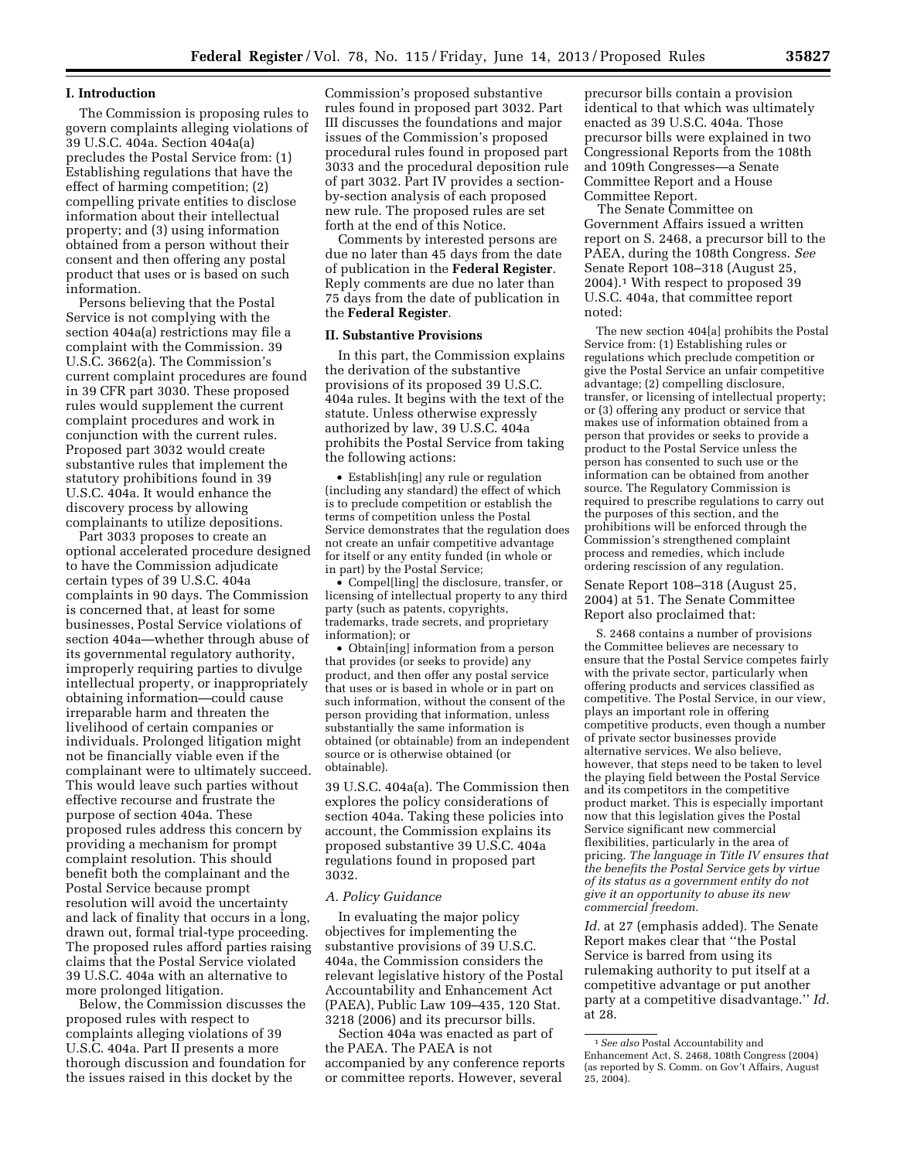## **I. Introduction**

The Commission is proposing rules to govern complaints alleging violations of 39 U.S.C. 404a. Section 404a(a) precludes the Postal Service from: (1) Establishing regulations that have the effect of harming competition; (2) compelling private entities to disclose information about their intellectual property; and (3) using information obtained from a person without their consent and then offering any postal product that uses or is based on such information.

Persons believing that the Postal Service is not complying with the section 404a(a) restrictions may file a complaint with the Commission. 39 U.S.C. 3662(a). The Commission's current complaint procedures are found in 39 CFR part 3030. These proposed rules would supplement the current complaint procedures and work in conjunction with the current rules. Proposed part 3032 would create substantive rules that implement the statutory prohibitions found in 39 U.S.C. 404a. It would enhance the discovery process by allowing complainants to utilize depositions.

Part 3033 proposes to create an optional accelerated procedure designed to have the Commission adjudicate certain types of 39 U.S.C. 404a complaints in 90 days. The Commission is concerned that, at least for some businesses, Postal Service violations of section 404a—whether through abuse of its governmental regulatory authority, improperly requiring parties to divulge intellectual property, or inappropriately obtaining information—could cause irreparable harm and threaten the livelihood of certain companies or individuals. Prolonged litigation might not be financially viable even if the complainant were to ultimately succeed. This would leave such parties without effective recourse and frustrate the purpose of section 404a. These proposed rules address this concern by providing a mechanism for prompt complaint resolution. This should benefit both the complainant and the Postal Service because prompt resolution will avoid the uncertainty and lack of finality that occurs in a long, drawn out, formal trial-type proceeding. The proposed rules afford parties raising claims that the Postal Service violated 39 U.S.C. 404a with an alternative to more prolonged litigation.

Below, the Commission discusses the proposed rules with respect to complaints alleging violations of 39 U.S.C. 404a. Part II presents a more thorough discussion and foundation for the issues raised in this docket by the

Commission's proposed substantive rules found in proposed part 3032. Part III discusses the foundations and major issues of the Commission's proposed procedural rules found in proposed part 3033 and the procedural deposition rule of part 3032. Part IV provides a sectionby-section analysis of each proposed new rule. The proposed rules are set forth at the end of this Notice.

Comments by interested persons are due no later than 45 days from the date of publication in the **Federal Register**. Reply comments are due no later than 75 days from the date of publication in the **Federal Register**.

### **II. Substantive Provisions**

In this part, the Commission explains the derivation of the substantive provisions of its proposed 39 U.S.C. 404a rules. It begins with the text of the statute. Unless otherwise expressly authorized by law, 39 U.S.C. 404a prohibits the Postal Service from taking the following actions:

• Establish[ing] any rule or regulation (including any standard) the effect of which is to preclude competition or establish the terms of competition unless the Postal Service demonstrates that the regulation does not create an unfair competitive advantage for itself or any entity funded (in whole or in part) by the Postal Service;

• Compel[ling] the disclosure, transfer, or licensing of intellectual property to any third party (such as patents, copyrights, trademarks, trade secrets, and proprietary information); or

• Obtain[ing] information from a person that provides (or seeks to provide) any product, and then offer any postal service that uses or is based in whole or in part on such information, without the consent of the person providing that information, unless substantially the same information is obtained (or obtainable) from an independent source or is otherwise obtained (or obtainable).

39 U.S.C. 404a(a). The Commission then explores the policy considerations of section 404a. Taking these policies into account, the Commission explains its proposed substantive 39 U.S.C. 404a regulations found in proposed part 3032.

#### *A. Policy Guidance*

In evaluating the major policy objectives for implementing the substantive provisions of 39 U.S.C. 404a, the Commission considers the relevant legislative history of the Postal Accountability and Enhancement Act (PAEA), Public Law 109–435, 120 Stat. 3218 (2006) and its precursor bills.

Section 404a was enacted as part of the PAEA. The PAEA is not accompanied by any conference reports or committee reports. However, several

precursor bills contain a provision identical to that which was ultimately enacted as 39 U.S.C. 404a. Those precursor bills were explained in two Congressional Reports from the 108th and 109th Congresses—a Senate Committee Report and a House Committee Report.

The Senate Committee on Government Affairs issued a written report on S. 2468, a precursor bill to the PAEA, during the 108th Congress. *See*  Senate Report 108–318 (August 25, 2004).1 With respect to proposed 39 U.S.C. 404a, that committee report noted:

The new section 404[a] prohibits the Postal Service from: (1) Establishing rules or regulations which preclude competition or give the Postal Service an unfair competitive advantage; (2) compelling disclosure, transfer, or licensing of intellectual property; or (3) offering any product or service that makes use of information obtained from a person that provides or seeks to provide a product to the Postal Service unless the person has consented to such use or the information can be obtained from another source. The Regulatory Commission is required to prescribe regulations to carry out the purposes of this section, and the prohibitions will be enforced through the Commission's strengthened complaint process and remedies, which include ordering rescission of any regulation.

Senate Report 108–318 (August 25, 2004) at 51. The Senate Committee Report also proclaimed that:

S. 2468 contains a number of provisions the Committee believes are necessary to ensure that the Postal Service competes fairly with the private sector, particularly when offering products and services classified as competitive. The Postal Service, in our view, plays an important role in offering competitive products, even though a number of private sector businesses provide alternative services. We also believe, however, that steps need to be taken to level the playing field between the Postal Service and its competitors in the competitive product market. This is especially important now that this legislation gives the Postal Service significant new commercial flexibilities, particularly in the area of pricing. *The language in Title IV ensures that the benefits the Postal Service gets by virtue of its status as a government entity do not give it an opportunity to abuse its new commercial freedom.* 

*Id.* at 27 (emphasis added). The Senate Report makes clear that ''the Postal Service is barred from using its rulemaking authority to put itself at a competitive advantage or put another party at a competitive disadvantage.'' *Id.*  at 28.

<sup>1</sup>*See also* Postal Accountability and Enhancement Act, S. 2468, 108th Congress (2004) (as reported by S. Comm. on Gov't Affairs, August  $25, 2004$ .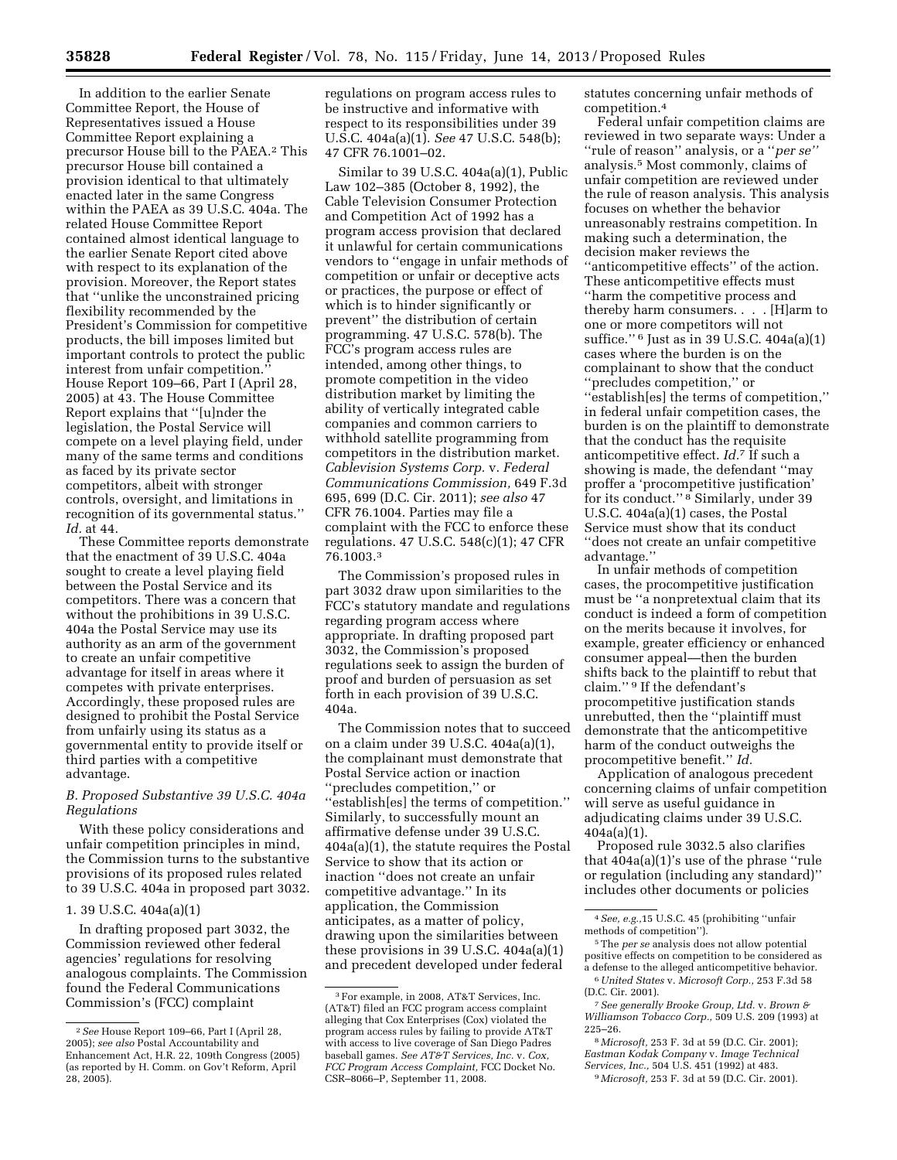In addition to the earlier Senate Committee Report, the House of Representatives issued a House Committee Report explaining a precursor House bill to the PAEA.2 This precursor House bill contained a provision identical to that ultimately enacted later in the same Congress within the PAEA as 39 U.S.C. 404a. The related House Committee Report contained almost identical language to the earlier Senate Report cited above with respect to its explanation of the provision. Moreover, the Report states that ''unlike the unconstrained pricing flexibility recommended by the President's Commission for competitive products, the bill imposes limited but important controls to protect the public interest from unfair competition.'' House Report 109–66, Part I (April 28, 2005) at 43. The House Committee Report explains that ''[u]nder the legislation, the Postal Service will compete on a level playing field, under many of the same terms and conditions as faced by its private sector competitors, albeit with stronger controls, oversight, and limitations in recognition of its governmental status.'' *Id.* at 44.

These Committee reports demonstrate that the enactment of 39 U.S.C. 404a sought to create a level playing field between the Postal Service and its competitors. There was a concern that without the prohibitions in 39 U.S.C. 404a the Postal Service may use its authority as an arm of the government to create an unfair competitive advantage for itself in areas where it competes with private enterprises. Accordingly, these proposed rules are designed to prohibit the Postal Service from unfairly using its status as a governmental entity to provide itself or third parties with a competitive advantage.

# *B. Proposed Substantive 39 U.S.C. 404a Regulations*

With these policy considerations and unfair competition principles in mind, the Commission turns to the substantive provisions of its proposed rules related to 39 U.S.C. 404a in proposed part 3032.

## 1. 39 U.S.C. 404a(a)(1)

In drafting proposed part 3032, the Commission reviewed other federal agencies' regulations for resolving analogous complaints. The Commission found the Federal Communications Commission's (FCC) complaint

regulations on program access rules to be instructive and informative with respect to its responsibilities under 39 U.S.C. 404a(a)(1). *See* 47 U.S.C. 548(b); 47 CFR 76.1001–02.

Similar to 39 U.S.C. 404a(a)(1), Public Law 102–385 (October 8, 1992), the Cable Television Consumer Protection and Competition Act of 1992 has a program access provision that declared it unlawful for certain communications vendors to ''engage in unfair methods of competition or unfair or deceptive acts or practices, the purpose or effect of which is to hinder significantly or prevent'' the distribution of certain programming. 47 U.S.C. 578(b). The FCC's program access rules are intended, among other things, to promote competition in the video distribution market by limiting the ability of vertically integrated cable companies and common carriers to withhold satellite programming from competitors in the distribution market. *Cablevision Systems Corp.* v. *Federal Communications Commission,* 649 F.3d 695, 699 (D.C. Cir. 2011); *see also* 47 CFR 76.1004. Parties may file a complaint with the FCC to enforce these regulations. 47 U.S.C. 548(c)(1); 47 CFR 76.1003.3

The Commission's proposed rules in part 3032 draw upon similarities to the FCC's statutory mandate and regulations regarding program access where appropriate. In drafting proposed part 3032, the Commission's proposed regulations seek to assign the burden of proof and burden of persuasion as set forth in each provision of 39 U.S.C. 404a.

The Commission notes that to succeed on a claim under 39 U.S.C. 404a(a)(1), the complainant must demonstrate that Postal Service action or inaction ''precludes competition,'' or ''establish[es] the terms of competition.'' Similarly, to successfully mount an affirmative defense under 39 U.S.C. 404a(a)(1), the statute requires the Postal Service to show that its action or inaction ''does not create an unfair competitive advantage.'' In its application, the Commission anticipates, as a matter of policy, drawing upon the similarities between these provisions in 39 U.S.C. 404a(a)(1) and precedent developed under federal

statutes concerning unfair methods of competition.4

Federal unfair competition claims are reviewed in two separate ways: Under a ''rule of reason'' analysis, or a ''*per se''*  analysis.5 Most commonly, claims of unfair competition are reviewed under the rule of reason analysis. This analysis focuses on whether the behavior unreasonably restrains competition. In making such a determination, the decision maker reviews the ''anticompetitive effects'' of the action. These anticompetitive effects must ''harm the competitive process and thereby harm consumers. . . . [H]arm to one or more competitors will not suffice.'' 6 Just as in 39 U.S.C. 404a(a)(1) cases where the burden is on the complainant to show that the conduct ''precludes competition,'' or ''establish[es] the terms of competition,'' in federal unfair competition cases, the burden is on the plaintiff to demonstrate that the conduct has the requisite anticompetitive effect. *Id.*7 If such a showing is made, the defendant ''may proffer a 'procompetitive justification' for its conduct.'' 8 Similarly, under 39

U.S.C. 404a(a)(1) cases, the Postal Service must show that its conduct ''does not create an unfair competitive advantage.''

In unfair methods of competition cases, the procompetitive justification must be ''a nonpretextual claim that its conduct is indeed a form of competition on the merits because it involves, for example, greater efficiency or enhanced consumer appeal—then the burden shifts back to the plaintiff to rebut that claim.'' 9 If the defendant's procompetitive justification stands unrebutted, then the ''plaintiff must demonstrate that the anticompetitive harm of the conduct outweighs the procompetitive benefit.'' *Id.* 

Application of analogous precedent concerning claims of unfair competition will serve as useful guidance in adjudicating claims under 39 U.S.C. 404a(a)(1).

Proposed rule 3032.5 also clarifies that 404a(a)(1)'s use of the phrase ''rule or regulation (including any standard)'' includes other documents or policies

- 5The *per se* analysis does not allow potential positive effects on competition to be considered as a defense to the alleged anticompetitive behavior.
- 6*United States* v. *Microsoft Corp.,* 253 F.3d 58 (D.C. Cir. 2001).

8 *Microsoft,* 253 F. 3d at 59 (D.C. Cir. 2001); *Eastman Kodak Company* v. *Image Technical Services, Inc.,* 504 U.S. 451 (1992) at 483. 9 *Microsoft,* 253 F. 3d at 59 (D.C. Cir. 2001).

<sup>2</sup>*See* House Report 109–66, Part I (April 28, 2005); *see also* Postal Accountability and Enhancement Act, H.R. 22, 109th Congress (2005) (as reported by H. Comm. on Gov't Reform, April 28, 2005).

<sup>3</sup>For example, in 2008, AT&T Services, Inc. (AT&T) filed an FCC program access complaint alleging that Cox Enterprises (Cox) violated the program access rules by failing to provide AT&T with access to live coverage of San Diego Padres baseball games. *See AT&T Services, Inc.* v. *Cox, FCC Program Access Complaint,* FCC Docket No. CSR–8066–P, September 11, 2008.

<sup>4</sup>*See, e.g.,*15 U.S.C. 45 (prohibiting ''unfair methods of competition'').

<sup>7</sup>*See generally Brooke Group, Ltd.* v. *Brown & Williamson Tobacco Corp.,* 509 U.S. 209 (1993) at 225–26.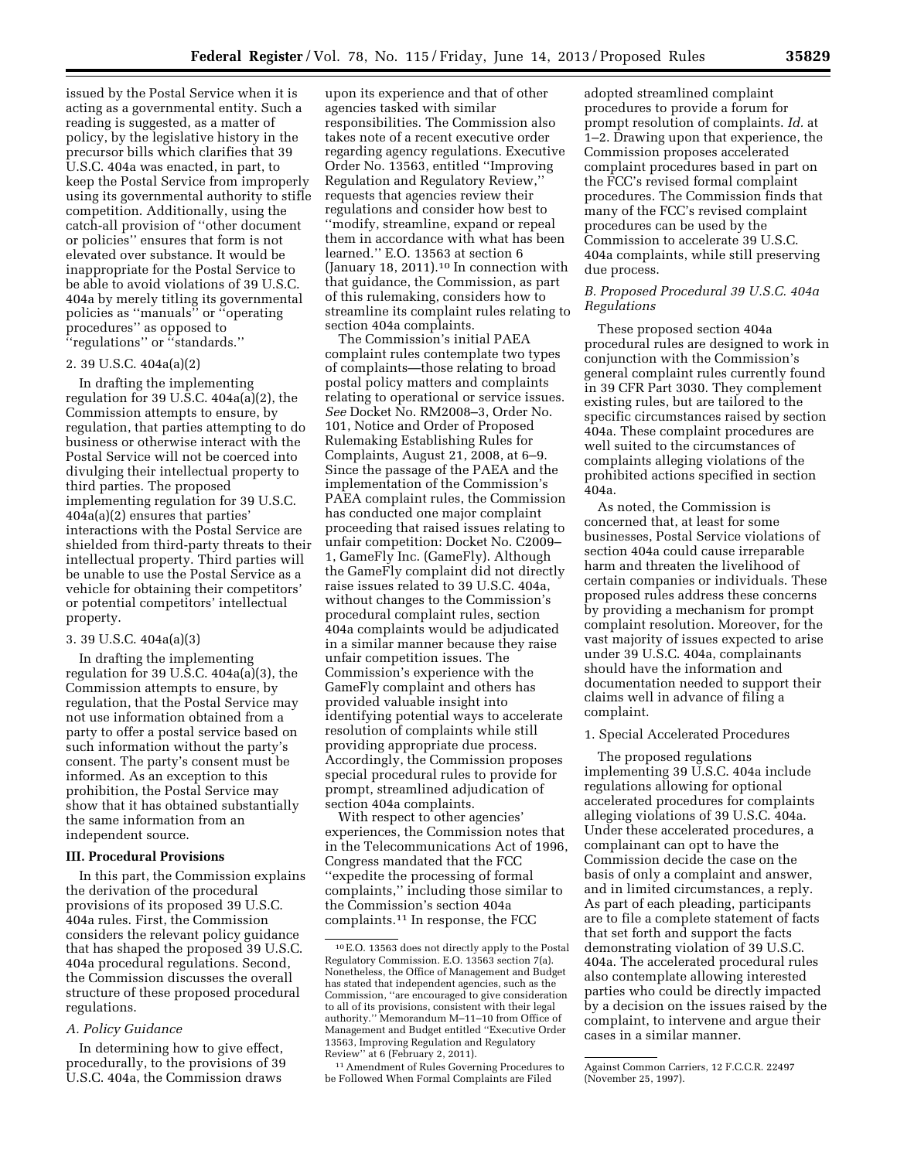issued by the Postal Service when it is acting as a governmental entity. Such a reading is suggested, as a matter of policy, by the legislative history in the precursor bills which clarifies that 39 U.S.C. 404a was enacted, in part, to keep the Postal Service from improperly using its governmental authority to stifle competition. Additionally, using the catch-all provision of ''other document or policies'' ensures that form is not elevated over substance. It would be inappropriate for the Postal Service to be able to avoid violations of 39 U.S.C. 404a by merely titling its governmental policies as ''manuals'' or ''operating procedures'' as opposed to ''regulations'' or ''standards.''

# 2. 39 U.S.C. 404a(a)(2)

In drafting the implementing regulation for 39 U.S.C. 404a(a)(2), the Commission attempts to ensure, by regulation, that parties attempting to do business or otherwise interact with the Postal Service will not be coerced into divulging their intellectual property to third parties. The proposed implementing regulation for 39 U.S.C. 404a(a)(2) ensures that parties' interactions with the Postal Service are shielded from third-party threats to their intellectual property. Third parties will be unable to use the Postal Service as a vehicle for obtaining their competitors' or potential competitors' intellectual property.

### 3. 39 U.S.C. 404a(a)(3)

In drafting the implementing regulation for 39 U.S.C. 404a(a)(3), the Commission attempts to ensure, by regulation, that the Postal Service may not use information obtained from a party to offer a postal service based on such information without the party's consent. The party's consent must be informed. As an exception to this prohibition, the Postal Service may show that it has obtained substantially the same information from an independent source.

### **III. Procedural Provisions**

In this part, the Commission explains the derivation of the procedural provisions of its proposed 39 U.S.C. 404a rules. First, the Commission considers the relevant policy guidance that has shaped the proposed 39 U.S.C. 404a procedural regulations. Second, the Commission discusses the overall structure of these proposed procedural regulations.

## *A. Policy Guidance*

In determining how to give effect, procedurally, to the provisions of 39 U.S.C. 404a, the Commission draws

upon its experience and that of other agencies tasked with similar responsibilities. The Commission also takes note of a recent executive order regarding agency regulations. Executive Order No. 13563, entitled ''Improving Regulation and Regulatory Review,'' requests that agencies review their regulations and consider how best to ''modify, streamline, expand or repeal them in accordance with what has been learned.'' E.O. 13563 at section 6 (January 18, 2011).10 In connection with that guidance, the Commission, as part of this rulemaking, considers how to streamline its complaint rules relating to section 404a complaints.

The Commission's initial PAEA complaint rules contemplate two types of complaints—those relating to broad postal policy matters and complaints relating to operational or service issues. *See* Docket No. RM2008–3, Order No. 101, Notice and Order of Proposed Rulemaking Establishing Rules for Complaints, August 21, 2008, at 6–9. Since the passage of the PAEA and the implementation of the Commission's PAEA complaint rules, the Commission has conducted one major complaint proceeding that raised issues relating to unfair competition: Docket No. C2009– 1, GameFly Inc. (GameFly). Although the GameFly complaint did not directly raise issues related to 39 U.S.C. 404a, without changes to the Commission's procedural complaint rules, section 404a complaints would be adjudicated in a similar manner because they raise unfair competition issues. The Commission's experience with the GameFly complaint and others has provided valuable insight into identifying potential ways to accelerate resolution of complaints while still providing appropriate due process. Accordingly, the Commission proposes special procedural rules to provide for prompt, streamlined adjudication of section 404a complaints.

With respect to other agencies' experiences, the Commission notes that in the Telecommunications Act of 1996, Congress mandated that the FCC ''expedite the processing of formal complaints,'' including those similar to the Commission's section 404a complaints.11 In response, the FCC

11Amendment of Rules Governing Procedures to be Followed When Formal Complaints are Filed

adopted streamlined complaint procedures to provide a forum for prompt resolution of complaints. *Id.* at 1–2. Drawing upon that experience, the Commission proposes accelerated complaint procedures based in part on the FCC's revised formal complaint procedures. The Commission finds that many of the FCC's revised complaint procedures can be used by the Commission to accelerate 39 U.S.C. 404a complaints, while still preserving due process.

## *B. Proposed Procedural 39 U.S.C. 404a Regulations*

These proposed section 404a procedural rules are designed to work in conjunction with the Commission's general complaint rules currently found in 39 CFR Part 3030. They complement existing rules, but are tailored to the specific circumstances raised by section 404a. These complaint procedures are well suited to the circumstances of complaints alleging violations of the prohibited actions specified in section 404a.

As noted, the Commission is concerned that, at least for some businesses, Postal Service violations of section 404a could cause irreparable harm and threaten the livelihood of certain companies or individuals. These proposed rules address these concerns by providing a mechanism for prompt complaint resolution. Moreover, for the vast majority of issues expected to arise under 39 U.S.C. 404a, complainants should have the information and documentation needed to support their claims well in advance of filing a complaint.

### 1. Special Accelerated Procedures

The proposed regulations implementing 39 U.S.C. 404a include regulations allowing for optional accelerated procedures for complaints alleging violations of 39 U.S.C. 404a. Under these accelerated procedures, a complainant can opt to have the Commission decide the case on the basis of only a complaint and answer, and in limited circumstances, a reply. As part of each pleading, participants are to file a complete statement of facts that set forth and support the facts demonstrating violation of 39 U.S.C. 404a. The accelerated procedural rules also contemplate allowing interested parties who could be directly impacted by a decision on the issues raised by the complaint, to intervene and argue their cases in a similar manner.

<sup>10</sup>E.O. 13563 does not directly apply to the Postal Regulatory Commission. E.O. 13563 section 7(a). Nonetheless, the Office of Management and Budget has stated that independent agencies, such as the Commission, ''are encouraged to give consideration to all of its provisions, consistent with their legal authority.'' Memorandum M–11–10 from Office of Management and Budget entitled ''Executive Order 13563, Improving Regulation and Regulatory Review'' at 6 (February 2, 2011).

Against Common Carriers, 12 F.C.C.R. 22497 (November 25, 1997).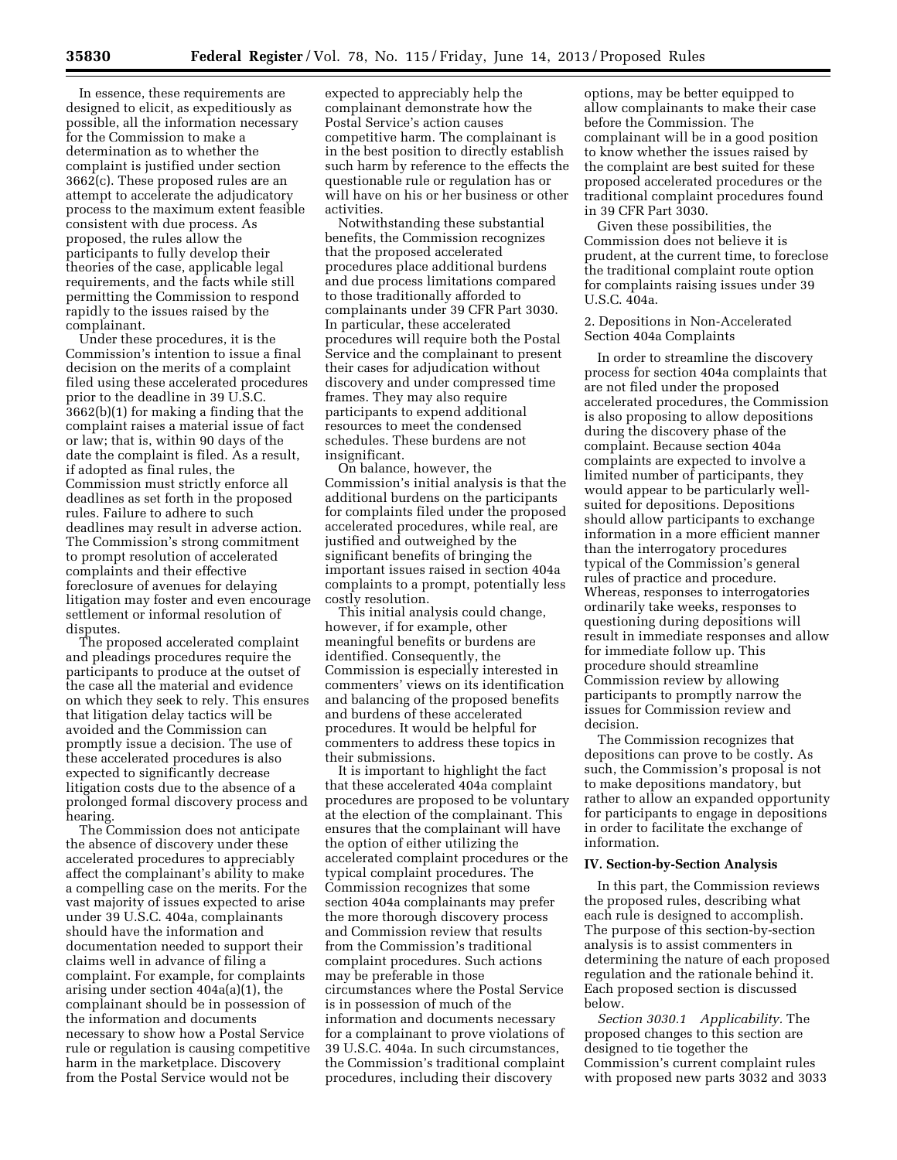In essence, these requirements are designed to elicit, as expeditiously as possible, all the information necessary for the Commission to make a determination as to whether the complaint is justified under section 3662(c). These proposed rules are an attempt to accelerate the adjudicatory process to the maximum extent feasible consistent with due process. As proposed, the rules allow the participants to fully develop their theories of the case, applicable legal requirements, and the facts while still permitting the Commission to respond rapidly to the issues raised by the complainant.

Under these procedures, it is the Commission's intention to issue a final decision on the merits of a complaint filed using these accelerated procedures prior to the deadline in 39 U.S.C. 3662(b)(1) for making a finding that the complaint raises a material issue of fact or law; that is, within 90 days of the date the complaint is filed. As a result, if adopted as final rules, the Commission must strictly enforce all deadlines as set forth in the proposed rules. Failure to adhere to such deadlines may result in adverse action. The Commission's strong commitment to prompt resolution of accelerated complaints and their effective foreclosure of avenues for delaying litigation may foster and even encourage settlement or informal resolution of disputes.

The proposed accelerated complaint and pleadings procedures require the participants to produce at the outset of the case all the material and evidence on which they seek to rely. This ensures that litigation delay tactics will be avoided and the Commission can promptly issue a decision. The use of these accelerated procedures is also expected to significantly decrease litigation costs due to the absence of a prolonged formal discovery process and hearing.

The Commission does not anticipate the absence of discovery under these accelerated procedures to appreciably affect the complainant's ability to make a compelling case on the merits. For the vast majority of issues expected to arise under 39 U.S.C. 404a, complainants should have the information and documentation needed to support their claims well in advance of filing a complaint. For example, for complaints arising under section 404a(a)(1), the complainant should be in possession of the information and documents necessary to show how a Postal Service rule or regulation is causing competitive harm in the marketplace. Discovery from the Postal Service would not be

expected to appreciably help the complainant demonstrate how the Postal Service's action causes competitive harm. The complainant is in the best position to directly establish such harm by reference to the effects the questionable rule or regulation has or will have on his or her business or other activities.

Notwithstanding these substantial benefits, the Commission recognizes that the proposed accelerated procedures place additional burdens and due process limitations compared to those traditionally afforded to complainants under 39 CFR Part 3030. In particular, these accelerated procedures will require both the Postal Service and the complainant to present their cases for adjudication without discovery and under compressed time frames. They may also require participants to expend additional resources to meet the condensed schedules. These burdens are not insignificant.

On balance, however, the Commission's initial analysis is that the additional burdens on the participants for complaints filed under the proposed accelerated procedures, while real, are justified and outweighed by the significant benefits of bringing the important issues raised in section 404a complaints to a prompt, potentially less costly resolution.

This initial analysis could change, however, if for example, other meaningful benefits or burdens are identified. Consequently, the Commission is especially interested in commenters' views on its identification and balancing of the proposed benefits and burdens of these accelerated procedures. It would be helpful for commenters to address these topics in their submissions.

It is important to highlight the fact that these accelerated 404a complaint procedures are proposed to be voluntary at the election of the complainant. This ensures that the complainant will have the option of either utilizing the accelerated complaint procedures or the typical complaint procedures. The Commission recognizes that some section 404a complainants may prefer the more thorough discovery process and Commission review that results from the Commission's traditional complaint procedures. Such actions may be preferable in those circumstances where the Postal Service is in possession of much of the information and documents necessary for a complainant to prove violations of 39 U.S.C. 404a. In such circumstances, the Commission's traditional complaint procedures, including their discovery

options, may be better equipped to allow complainants to make their case before the Commission. The complainant will be in a good position to know whether the issues raised by the complaint are best suited for these proposed accelerated procedures or the traditional complaint procedures found in 39 CFR Part 3030.

Given these possibilities, the Commission does not believe it is prudent, at the current time, to foreclose the traditional complaint route option for complaints raising issues under 39 U.S.C. 404a.

2. Depositions in Non-Accelerated Section 404a Complaints

In order to streamline the discovery process for section 404a complaints that are not filed under the proposed accelerated procedures, the Commission is also proposing to allow depositions during the discovery phase of the complaint. Because section 404a complaints are expected to involve a limited number of participants, they would appear to be particularly wellsuited for depositions. Depositions should allow participants to exchange information in a more efficient manner than the interrogatory procedures typical of the Commission's general rules of practice and procedure. Whereas, responses to interrogatories ordinarily take weeks, responses to questioning during depositions will result in immediate responses and allow for immediate follow up. This procedure should streamline Commission review by allowing participants to promptly narrow the issues for Commission review and decision.

The Commission recognizes that depositions can prove to be costly. As such, the Commission's proposal is not to make depositions mandatory, but rather to allow an expanded opportunity for participants to engage in depositions in order to facilitate the exchange of information.

#### **IV. Section-by-Section Analysis**

In this part, the Commission reviews the proposed rules, describing what each rule is designed to accomplish. The purpose of this section-by-section analysis is to assist commenters in determining the nature of each proposed regulation and the rationale behind it. Each proposed section is discussed below.

*Section 3030.1 Applicability.* The proposed changes to this section are designed to tie together the Commission's current complaint rules with proposed new parts 3032 and 3033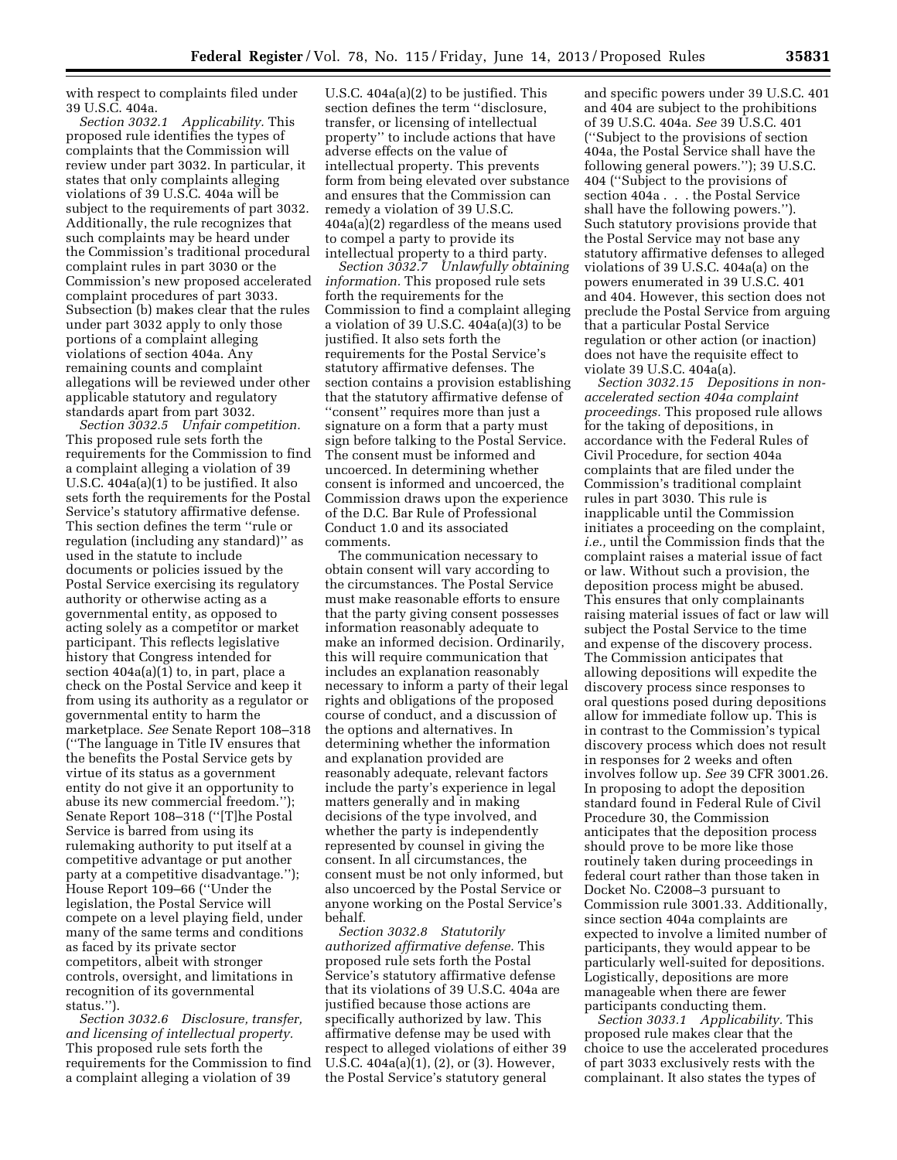with respect to complaints filed under 39 U.S.C. 404a.

*Section 3032.1 Applicability.* This proposed rule identifies the types of complaints that the Commission will review under part 3032. In particular, it states that only complaints alleging violations of 39 U.S.C. 404a will be subject to the requirements of part 3032. Additionally, the rule recognizes that such complaints may be heard under the Commission's traditional procedural complaint rules in part 3030 or the Commission's new proposed accelerated complaint procedures of part 3033. Subsection (b) makes clear that the rules under part 3032 apply to only those portions of a complaint alleging violations of section 404a. Any remaining counts and complaint allegations will be reviewed under other applicable statutory and regulatory standards apart from part 3032.

*Section 3032.5 Unfair competition.*  This proposed rule sets forth the requirements for the Commission to find a complaint alleging a violation of 39 U.S.C. 404a(a)(1) to be justified. It also sets forth the requirements for the Postal Service's statutory affirmative defense. This section defines the term ''rule or regulation (including any standard)'' as used in the statute to include documents or policies issued by the Postal Service exercising its regulatory authority or otherwise acting as a governmental entity, as opposed to acting solely as a competitor or market participant. This reflects legislative history that Congress intended for section 404a(a)(1) to, in part, place a check on the Postal Service and keep it from using its authority as a regulator or governmental entity to harm the marketplace. *See* Senate Report 108–318 (''The language in Title IV ensures that the benefits the Postal Service gets by virtue of its status as a government entity do not give it an opportunity to abuse its new commercial freedom.''); Senate Report 108–318 (''[T]he Postal Service is barred from using its rulemaking authority to put itself at a competitive advantage or put another party at a competitive disadvantage.''); House Report 109–66 (''Under the legislation, the Postal Service will compete on a level playing field, under many of the same terms and conditions as faced by its private sector competitors, albeit with stronger controls, oversight, and limitations in recognition of its governmental status.'').

*Section 3032.6 Disclosure, transfer, and licensing of intellectual property.*  This proposed rule sets forth the requirements for the Commission to find a complaint alleging a violation of 39

U.S.C. 404a(a)(2) to be justified. This section defines the term ''disclosure, transfer, or licensing of intellectual property'' to include actions that have adverse effects on the value of intellectual property. This prevents form from being elevated over substance and ensures that the Commission can remedy a violation of 39 U.S.C. 404a(a)(2) regardless of the means used to compel a party to provide its intellectual property to a third party.

*Section 3032.7 Unlawfully obtaining information.* This proposed rule sets forth the requirements for the Commission to find a complaint alleging a violation of 39 U.S.C. 404a(a)(3) to be justified. It also sets forth the requirements for the Postal Service's statutory affirmative defenses. The section contains a provision establishing that the statutory affirmative defense of ''consent'' requires more than just a signature on a form that a party must sign before talking to the Postal Service. The consent must be informed and uncoerced. In determining whether consent is informed and uncoerced, the Commission draws upon the experience of the D.C. Bar Rule of Professional Conduct 1.0 and its associated comments.

The communication necessary to obtain consent will vary according to the circumstances. The Postal Service must make reasonable efforts to ensure that the party giving consent possesses information reasonably adequate to make an informed decision. Ordinarily, this will require communication that includes an explanation reasonably necessary to inform a party of their legal rights and obligations of the proposed course of conduct, and a discussion of the options and alternatives. In determining whether the information and explanation provided are reasonably adequate, relevant factors include the party's experience in legal matters generally and in making decisions of the type involved, and whether the party is independently represented by counsel in giving the consent. In all circumstances, the consent must be not only informed, but also uncoerced by the Postal Service or anyone working on the Postal Service's behalf.

*Section 3032.8 Statutorily authorized affirmative defense.* This proposed rule sets forth the Postal Service's statutory affirmative defense that its violations of 39 U.S.C. 404a are justified because those actions are specifically authorized by law. This affirmative defense may be used with respect to alleged violations of either 39 U.S.C. 404a(a)(1), (2), or (3). However, the Postal Service's statutory general

and specific powers under 39 U.S.C. 401 and 404 are subject to the prohibitions of 39 U.S.C. 404a. *See* 39 U.S.C. 401 (''Subject to the provisions of section 404a, the Postal Service shall have the following general powers.''); 39 U.S.C. 404 (''Subject to the provisions of section 404a . . . the Postal Service shall have the following powers.''). Such statutory provisions provide that the Postal Service may not base any statutory affirmative defenses to alleged violations of 39 U.S.C. 404a(a) on the powers enumerated in 39 U.S.C. 401 and 404. However, this section does not preclude the Postal Service from arguing that a particular Postal Service regulation or other action (or inaction) does not have the requisite effect to violate 39 U.S.C. 404a(a).

*Section 3032.15 Depositions in nonaccelerated section 404a complaint proceedings.* This proposed rule allows for the taking of depositions, in accordance with the Federal Rules of Civil Procedure, for section 404a complaints that are filed under the Commission's traditional complaint rules in part 3030. This rule is inapplicable until the Commission initiates a proceeding on the complaint, *i.e.,* until the Commission finds that the complaint raises a material issue of fact or law. Without such a provision, the deposition process might be abused. This ensures that only complainants raising material issues of fact or law will subject the Postal Service to the time and expense of the discovery process. The Commission anticipates that allowing depositions will expedite the discovery process since responses to oral questions posed during depositions allow for immediate follow up. This is in contrast to the Commission's typical discovery process which does not result in responses for 2 weeks and often involves follow up. *See* 39 CFR 3001.26. In proposing to adopt the deposition standard found in Federal Rule of Civil Procedure 30, the Commission anticipates that the deposition process should prove to be more like those routinely taken during proceedings in federal court rather than those taken in Docket No. C2008–3 pursuant to Commission rule 3001.33. Additionally, since section 404a complaints are expected to involve a limited number of participants, they would appear to be particularly well-suited for depositions. Logistically, depositions are more manageable when there are fewer participants conducting them.

*Section 3033.1 Applicability.* This proposed rule makes clear that the choice to use the accelerated procedures of part 3033 exclusively rests with the complainant. It also states the types of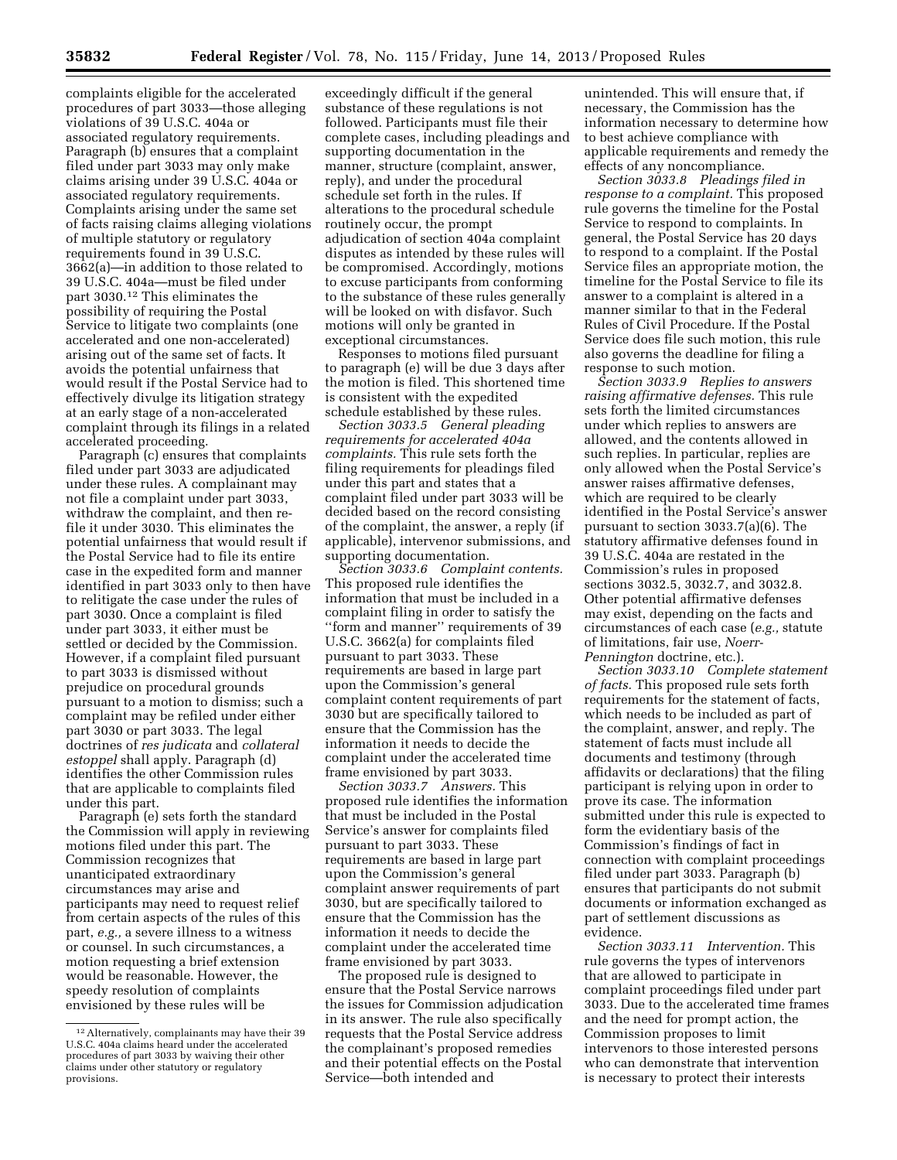complaints eligible for the accelerated procedures of part 3033—those alleging violations of 39 U.S.C. 404a or associated regulatory requirements. Paragraph (b) ensures that a complaint filed under part 3033 may only make claims arising under 39 U.S.C. 404a or associated regulatory requirements. Complaints arising under the same set of facts raising claims alleging violations of multiple statutory or regulatory requirements found in 39 U.S.C. 3662(a)—in addition to those related to 39 U.S.C. 404a—must be filed under part 3030.12 This eliminates the possibility of requiring the Postal Service to litigate two complaints (one accelerated and one non-accelerated) arising out of the same set of facts. It avoids the potential unfairness that would result if the Postal Service had to effectively divulge its litigation strategy at an early stage of a non-accelerated complaint through its filings in a related accelerated proceeding.

Paragraph (c) ensures that complaints filed under part 3033 are adjudicated under these rules. A complainant may not file a complaint under part 3033, withdraw the complaint, and then refile it under 3030. This eliminates the potential unfairness that would result if the Postal Service had to file its entire case in the expedited form and manner identified in part 3033 only to then have to relitigate the case under the rules of part 3030. Once a complaint is filed under part 3033, it either must be settled or decided by the Commission. However, if a complaint filed pursuant to part 3033 is dismissed without prejudice on procedural grounds pursuant to a motion to dismiss; such a complaint may be refiled under either part 3030 or part 3033. The legal doctrines of *res judicata* and *collateral estoppel* shall apply. Paragraph (d) identifies the other Commission rules that are applicable to complaints filed under this part.

Paragraph (e) sets forth the standard the Commission will apply in reviewing motions filed under this part. The Commission recognizes that unanticipated extraordinary circumstances may arise and participants may need to request relief from certain aspects of the rules of this part, *e.g.,* a severe illness to a witness or counsel. In such circumstances, a motion requesting a brief extension would be reasonable. However, the speedy resolution of complaints envisioned by these rules will be

exceedingly difficult if the general substance of these regulations is not followed. Participants must file their complete cases, including pleadings and supporting documentation in the manner, structure (complaint, answer, reply), and under the procedural schedule set forth in the rules. If alterations to the procedural schedule routinely occur, the prompt adjudication of section 404a complaint disputes as intended by these rules will be compromised. Accordingly, motions to excuse participants from conforming to the substance of these rules generally will be looked on with disfavor. Such motions will only be granted in exceptional circumstances.

Responses to motions filed pursuant to paragraph (e) will be due 3 days after the motion is filed. This shortened time is consistent with the expedited schedule established by these rules.

*Section 3033.5 General pleading requirements for accelerated 404a complaints.* This rule sets forth the filing requirements for pleadings filed under this part and states that a complaint filed under part 3033 will be decided based on the record consisting of the complaint, the answer, a reply (if applicable), intervenor submissions, and supporting documentation.

*Section 3033.6 Complaint contents.*  This proposed rule identifies the information that must be included in a complaint filing in order to satisfy the ''form and manner'' requirements of 39 U.S.C. 3662(a) for complaints filed pursuant to part 3033. These requirements are based in large part upon the Commission's general complaint content requirements of part 3030 but are specifically tailored to ensure that the Commission has the information it needs to decide the complaint under the accelerated time frame envisioned by part 3033.

*Section 3033.7 Answers.* This proposed rule identifies the information that must be included in the Postal Service's answer for complaints filed pursuant to part 3033. These requirements are based in large part upon the Commission's general complaint answer requirements of part 3030, but are specifically tailored to ensure that the Commission has the information it needs to decide the complaint under the accelerated time frame envisioned by part 3033.

The proposed rule is designed to ensure that the Postal Service narrows the issues for Commission adjudication in its answer. The rule also specifically requests that the Postal Service address the complainant's proposed remedies and their potential effects on the Postal Service—both intended and

unintended. This will ensure that, if necessary, the Commission has the information necessary to determine how to best achieve compliance with applicable requirements and remedy the effects of any noncompliance.

*Section 3033.8 Pleadings filed in response to a complaint.* This proposed rule governs the timeline for the Postal Service to respond to complaints. In general, the Postal Service has 20 days to respond to a complaint. If the Postal Service files an appropriate motion, the timeline for the Postal Service to file its answer to a complaint is altered in a manner similar to that in the Federal Rules of Civil Procedure. If the Postal Service does file such motion, this rule also governs the deadline for filing a response to such motion.

*Section 3033.9 Replies to answers raising affirmative defenses.* This rule sets forth the limited circumstances under which replies to answers are allowed, and the contents allowed in such replies. In particular, replies are only allowed when the Postal Service's answer raises affirmative defenses, which are required to be clearly identified in the Postal Service's answer pursuant to section 3033.7(a)(6). The statutory affirmative defenses found in 39 U.S.C. 404a are restated in the Commission's rules in proposed sections 3032.5, 3032.7, and 3032.8. Other potential affirmative defenses may exist, depending on the facts and circumstances of each case (*e.g.,* statute of limitations, fair use, *Noerr-Pennington* doctrine, etc.).

*Section 3033.10 Complete statement of facts.* This proposed rule sets forth requirements for the statement of facts, which needs to be included as part of the complaint, answer, and reply. The statement of facts must include all documents and testimony (through affidavits or declarations) that the filing participant is relying upon in order to prove its case. The information submitted under this rule is expected to form the evidentiary basis of the Commission's findings of fact in connection with complaint proceedings filed under part 3033. Paragraph (b) ensures that participants do not submit documents or information exchanged as part of settlement discussions as evidence.

*Section 3033.11 Intervention.* This rule governs the types of intervenors that are allowed to participate in complaint proceedings filed under part 3033. Due to the accelerated time frames and the need for prompt action, the Commission proposes to limit intervenors to those interested persons who can demonstrate that intervention is necessary to protect their interests

<sup>12</sup>Alternatively, complainants may have their 39 U.S.C. 404a claims heard under the accelerated procedures of part 3033 by waiving their other claims under other statutory or regulatory provisions.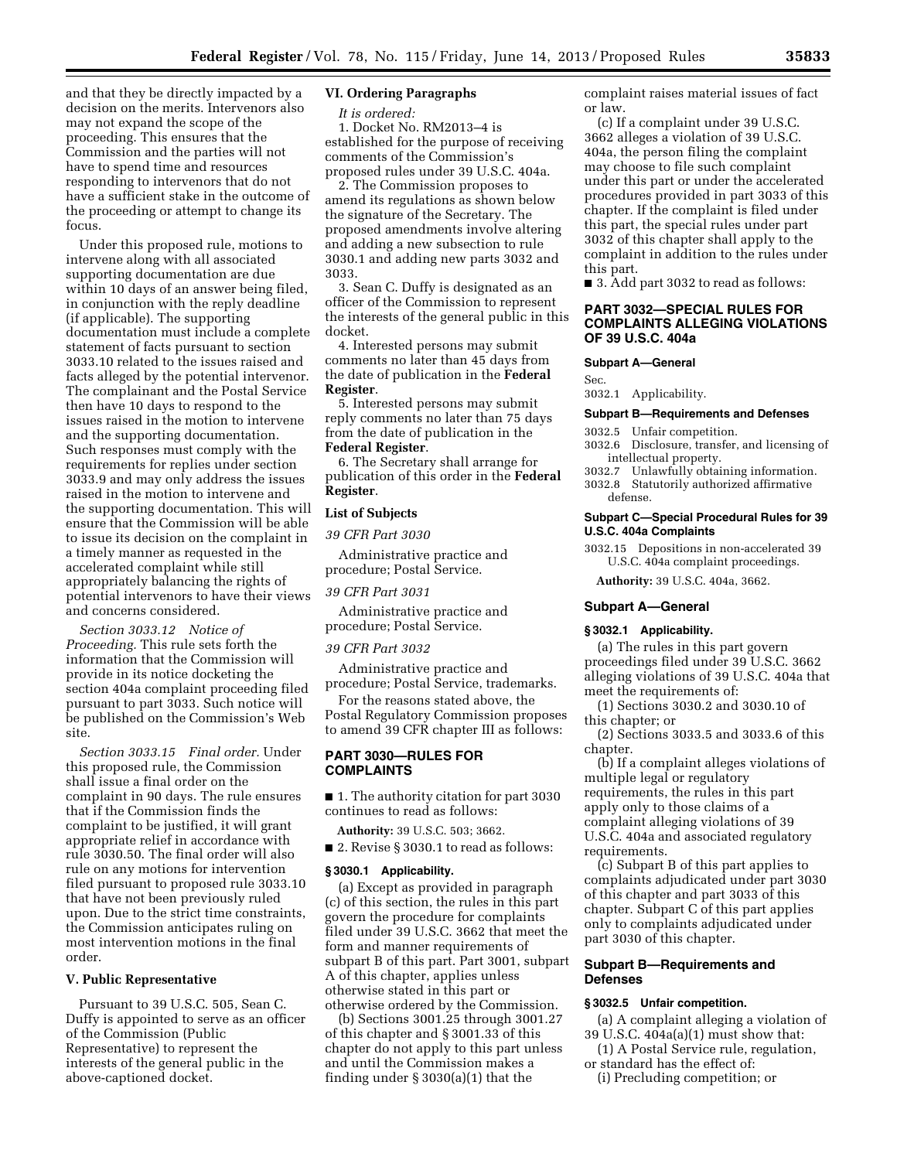and that they be directly impacted by a decision on the merits. Intervenors also may not expand the scope of the proceeding. This ensures that the Commission and the parties will not have to spend time and resources responding to intervenors that do not have a sufficient stake in the outcome of the proceeding or attempt to change its focus.

Under this proposed rule, motions to intervene along with all associated supporting documentation are due within 10 days of an answer being filed, in conjunction with the reply deadline (if applicable). The supporting documentation must include a complete statement of facts pursuant to section 3033.10 related to the issues raised and facts alleged by the potential intervenor. The complainant and the Postal Service then have 10 days to respond to the issues raised in the motion to intervene and the supporting documentation. Such responses must comply with the requirements for replies under section 3033.9 and may only address the issues raised in the motion to intervene and the supporting documentation. This will ensure that the Commission will be able to issue its decision on the complaint in a timely manner as requested in the accelerated complaint while still appropriately balancing the rights of potential intervenors to have their views and concerns considered.

*Section 3033.12 Notice of Proceeding.* This rule sets forth the information that the Commission will provide in its notice docketing the section 404a complaint proceeding filed pursuant to part 3033. Such notice will be published on the Commission's Web site.

*Section 3033.15 Final order.* Under this proposed rule, the Commission shall issue a final order on the complaint in 90 days. The rule ensures that if the Commission finds the complaint to be justified, it will grant appropriate relief in accordance with rule 3030.50. The final order will also rule on any motions for intervention filed pursuant to proposed rule 3033.10 that have not been previously ruled upon. Due to the strict time constraints, the Commission anticipates ruling on most intervention motions in the final order.

### **V. Public Representative**

Pursuant to 39 U.S.C. 505, Sean C. Duffy is appointed to serve as an officer of the Commission (Public Representative) to represent the interests of the general public in the above-captioned docket.

# **VI. Ordering Paragraphs**

*It is ordered:* 

1. Docket No. RM2013–4 is established for the purpose of receiving comments of the Commission's proposed rules under 39 U.S.C. 404a.

2. The Commission proposes to amend its regulations as shown below the signature of the Secretary. The proposed amendments involve altering and adding a new subsection to rule 3030.1 and adding new parts 3032 and 3033.

3. Sean C. Duffy is designated as an officer of the Commission to represent the interests of the general public in this docket.

4. Interested persons may submit comments no later than 45 days from the date of publication in the **Federal Register**.

5. Interested persons may submit reply comments no later than 75 days from the date of publication in the **Federal Register**.

6. The Secretary shall arrange for publication of this order in the **Federal Register**.

#### **List of Subjects**

*39 CFR Part 3030* 

Administrative practice and procedure; Postal Service.

*39 CFR Part 3031* 

Administrative practice and procedure; Postal Service.

#### *39 CFR Part 3032*

Administrative practice and procedure; Postal Service, trademarks.

For the reasons stated above, the Postal Regulatory Commission proposes to amend 39 CFR chapter III as follows:

## **PART 3030—RULES FOR COMPLAINTS**

■ 1. The authority citation for part 3030 continues to read as follows:

**Authority:** 39 U.S.C. 503; 3662.

■ 2. Revise § 3030.1 to read as follows:

#### **§ 3030.1 Applicability.**

(a) Except as provided in paragraph (c) of this section, the rules in this part govern the procedure for complaints filed under 39 U.S.C. 3662 that meet the form and manner requirements of subpart B of this part. Part 3001, subpart A of this chapter, applies unless otherwise stated in this part or otherwise ordered by the Commission.

(b) Sections 3001.25 through 3001.27 of this chapter and § 3001.33 of this chapter do not apply to this part unless and until the Commission makes a finding under § 3030(a)(1) that the

complaint raises material issues of fact or law.

(c) If a complaint under 39 U.S.C. 3662 alleges a violation of 39 U.S.C. 404a, the person filing the complaint may choose to file such complaint under this part or under the accelerated procedures provided in part 3033 of this chapter. If the complaint is filed under this part, the special rules under part 3032 of this chapter shall apply to the complaint in addition to the rules under this part.

■ 3. Add part 3032 to read as follows:

## **PART 3032—SPECIAL RULES FOR COMPLAINTS ALLEGING VIOLATIONS OF 39 U.S.C. 404a**

#### **Subpart A—General**

Sec.

3032.1 Applicability.

#### **Subpart B—Requirements and Defenses**

3032.5 Unfair competition.

- 3032.6 Disclosure, transfer, and licensing of intellectual property.
- 3032.7 Unlawfully obtaining information. 3032.8 Statutorily authorized affirmative defense.

## **Subpart C—Special Procedural Rules for 39 U.S.C. 404a Complaints**

3032.15 Depositions in non-accelerated 39 U.S.C. 404a complaint proceedings.

**Authority:** 39 U.S.C. 404a, 3662.

#### **Subpart A—General**

#### **§ 3032.1 Applicability.**

(a) The rules in this part govern proceedings filed under 39 U.S.C. 3662 alleging violations of 39 U.S.C. 404a that meet the requirements of:

(1) Sections 3030.2 and 3030.10 of this chapter; or

(2) Sections 3033.5 and 3033.6 of this chapter.

(b) If a complaint alleges violations of multiple legal or regulatory requirements, the rules in this part apply only to those claims of a complaint alleging violations of 39 U.S.C. 404a and associated regulatory requirements.

(c) Subpart B of this part applies to complaints adjudicated under part 3030 of this chapter and part 3033 of this chapter. Subpart C of this part applies only to complaints adjudicated under part 3030 of this chapter.

## **Subpart B—Requirements and Defenses**

## **§ 3032.5 Unfair competition.**

- (a) A complaint alleging a violation of 39 U.S.C. 404a(a)(1) must show that:
- (1) A Postal Service rule, regulation, or standard has the effect of:
- (i) Precluding competition; or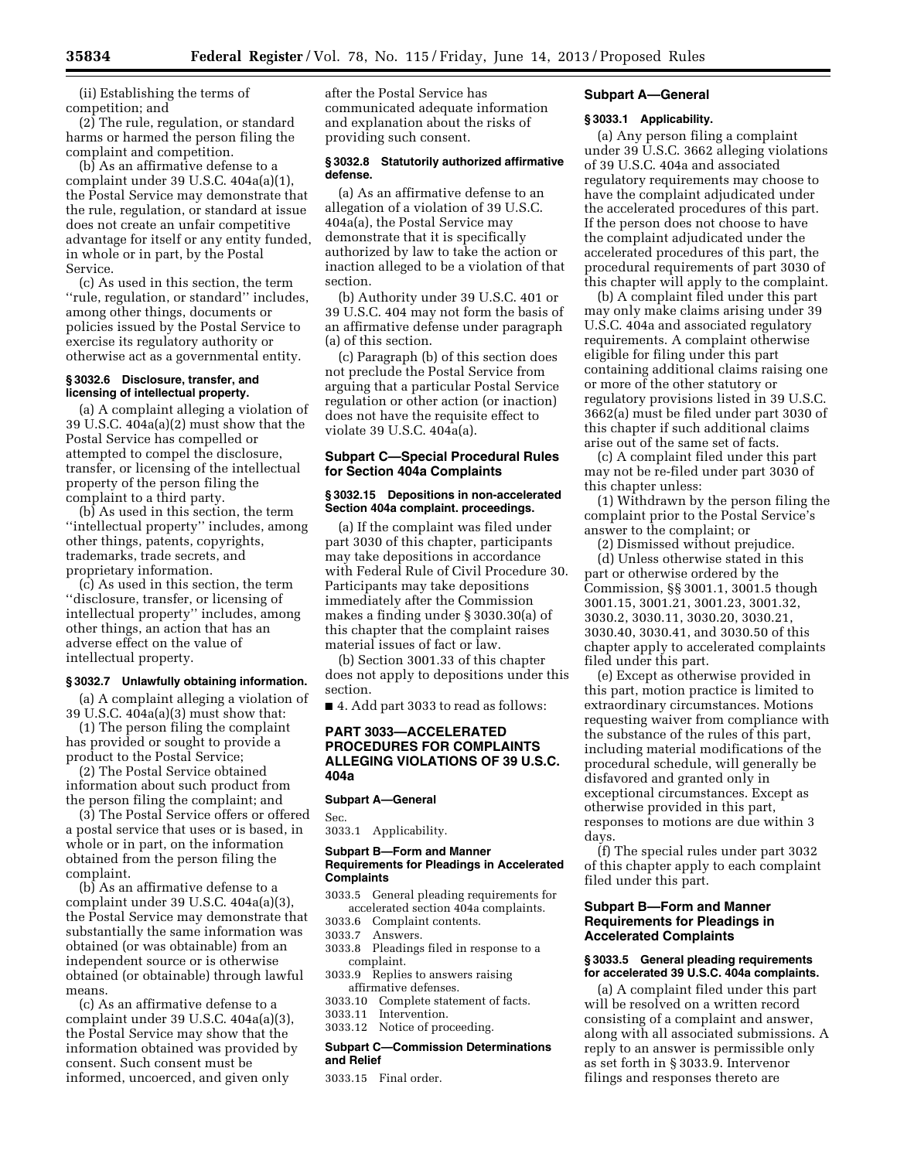(ii) Establishing the terms of competition; and

(2) The rule, regulation, or standard harms or harmed the person filing the complaint and competition.

(b) As an affirmative defense to a complaint under 39 U.S.C. 404a(a)(1), the Postal Service may demonstrate that the rule, regulation, or standard at issue does not create an unfair competitive advantage for itself or any entity funded, in whole or in part, by the Postal Service.

(c) As used in this section, the term ''rule, regulation, or standard'' includes, among other things, documents or policies issued by the Postal Service to exercise its regulatory authority or otherwise act as a governmental entity.

### **§ 3032.6 Disclosure, transfer, and licensing of intellectual property.**

(a) A complaint alleging a violation of 39 U.S.C. 404a(a)(2) must show that the Postal Service has compelled or attempted to compel the disclosure, transfer, or licensing of the intellectual property of the person filing the complaint to a third party.

(b) As used in this section, the term ''intellectual property'' includes, among other things, patents, copyrights, trademarks, trade secrets, and proprietary information.

(c) As used in this section, the term ''disclosure, transfer, or licensing of intellectual property'' includes, among other things, an action that has an adverse effect on the value of intellectual property.

# **§ 3032.7 Unlawfully obtaining information.**

(a) A complaint alleging a violation of 39 U.S.C. 404a(a)(3) must show that:

(1) The person filing the complaint has provided or sought to provide a product to the Postal Service;

(2) The Postal Service obtained information about such product from the person filing the complaint; and

(3) The Postal Service offers or offered a postal service that uses or is based, in whole or in part, on the information obtained from the person filing the complaint.

(b) As an affirmative defense to a complaint under 39 U.S.C. 404a(a)(3), the Postal Service may demonstrate that substantially the same information was obtained (or was obtainable) from an independent source or is otherwise obtained (or obtainable) through lawful means.

(c) As an affirmative defense to a complaint under 39 U.S.C. 404a(a)(3), the Postal Service may show that the information obtained was provided by consent. Such consent must be informed, uncoerced, and given only

after the Postal Service has communicated adequate information and explanation about the risks of providing such consent.

### **§ 3032.8 Statutorily authorized affirmative defense.**

(a) As an affirmative defense to an allegation of a violation of 39 U.S.C. 404a(a), the Postal Service may demonstrate that it is specifically authorized by law to take the action or inaction alleged to be a violation of that section.

(b) Authority under 39 U.S.C. 401 or 39 U.S.C. 404 may not form the basis of an affirmative defense under paragraph (a) of this section.

(c) Paragraph (b) of this section does not preclude the Postal Service from arguing that a particular Postal Service regulation or other action (or inaction) does not have the requisite effect to violate 39 U.S.C. 404a(a).

## **Subpart C—Special Procedural Rules for Section 404a Complaints**

### **§ 3032.15 Depositions in non-accelerated Section 404a complaint. proceedings.**

(a) If the complaint was filed under part 3030 of this chapter, participants may take depositions in accordance with Federal Rule of Civil Procedure 30. Participants may take depositions immediately after the Commission makes a finding under § 3030.30(a) of this chapter that the complaint raises material issues of fact or law.

(b) Section 3001.33 of this chapter does not apply to depositions under this section.

■ 4. Add part 3033 to read as follows:

## **PART 3033—ACCELERATED PROCEDURES FOR COMPLAINTS ALLEGING VIOLATIONS OF 39 U.S.C. 404a**

## **Subpart A—General**

Sec. 3033.1 Applicability.

# **Subpart B—Form and Manner Requirements for Pleadings in Accelerated Complaints**

- 3033.5 General pleading requirements for accelerated section 404a complaints.
- 3033.6 Complaint contents.
- 3033.7 Answers.
- 3033.8 Pleadings filed in response to a complaint.
- 3033.9 Replies to answers raising affirmative defenses.
- 3033.10 Complete statement of facts.
- 3033.11 Intervention.
- 3033.12 Notice of proceeding.

## **Subpart C—Commission Determinations and Relief**

3033.15 Final order.

# **Subpart A—General**

## **§ 3033.1 Applicability.**

(a) Any person filing a complaint under 39 U.S.C. 3662 alleging violations of 39 U.S.C. 404a and associated regulatory requirements may choose to have the complaint adjudicated under the accelerated procedures of this part. If the person does not choose to have the complaint adjudicated under the accelerated procedures of this part, the procedural requirements of part 3030 of this chapter will apply to the complaint.

(b) A complaint filed under this part may only make claims arising under 39 U.S.C. 404a and associated regulatory requirements. A complaint otherwise eligible for filing under this part containing additional claims raising one or more of the other statutory or regulatory provisions listed in 39 U.S.C. 3662(a) must be filed under part 3030 of this chapter if such additional claims arise out of the same set of facts.

(c) A complaint filed under this part may not be re-filed under part 3030 of this chapter unless:

(1) Withdrawn by the person filing the complaint prior to the Postal Service's answer to the complaint; or

(2) Dismissed without prejudice.

(d) Unless otherwise stated in this part or otherwise ordered by the Commission, §§ 3001.1, 3001.5 though 3001.15, 3001.21, 3001.23, 3001.32, 3030.2, 3030.11, 3030.20, 3030.21, 3030.40, 3030.41, and 3030.50 of this chapter apply to accelerated complaints filed under this part.

(e) Except as otherwise provided in this part, motion practice is limited to extraordinary circumstances. Motions requesting waiver from compliance with the substance of the rules of this part, including material modifications of the procedural schedule, will generally be disfavored and granted only in exceptional circumstances. Except as otherwise provided in this part, responses to motions are due within 3 days.

(f) The special rules under part 3032 of this chapter apply to each complaint filed under this part.

## **Subpart B—Form and Manner Requirements for Pleadings in Accelerated Complaints**

### **§ 3033.5 General pleading requirements for accelerated 39 U.S.C. 404a complaints.**

(a) A complaint filed under this part will be resolved on a written record consisting of a complaint and answer, along with all associated submissions. A reply to an answer is permissible only as set forth in § 3033.9. Intervenor filings and responses thereto are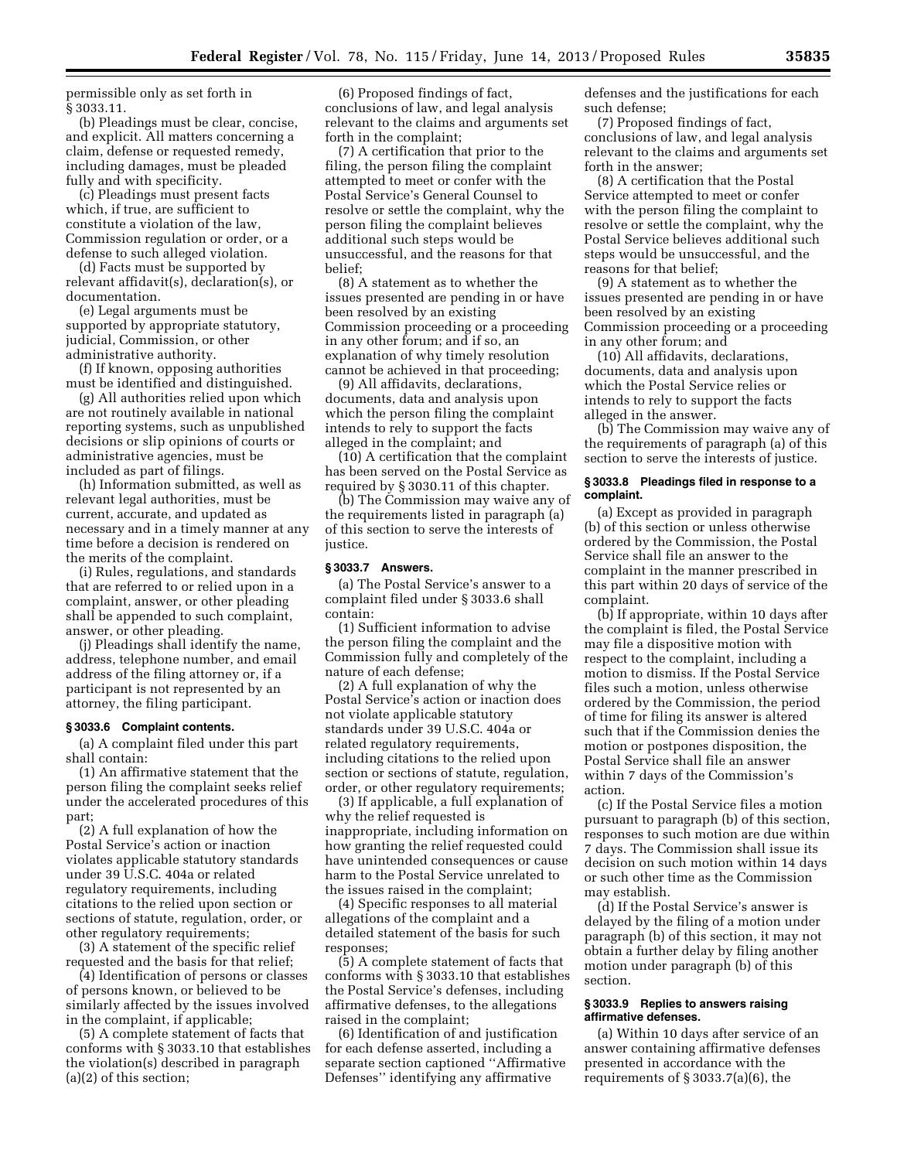permissible only as set forth in § 3033.11.

(b) Pleadings must be clear, concise, and explicit. All matters concerning a claim, defense or requested remedy, including damages, must be pleaded fully and with specificity.

(c) Pleadings must present facts which, if true, are sufficient to constitute a violation of the law, Commission regulation or order, or a defense to such alleged violation.

(d) Facts must be supported by relevant affidavit(s), declaration(s), or documentation.

(e) Legal arguments must be supported by appropriate statutory, judicial, Commission, or other administrative authority.

(f) If known, opposing authorities must be identified and distinguished.

(g) All authorities relied upon which are not routinely available in national reporting systems, such as unpublished decisions or slip opinions of courts or administrative agencies, must be included as part of filings.

(h) Information submitted, as well as relevant legal authorities, must be current, accurate, and updated as necessary and in a timely manner at any time before a decision is rendered on the merits of the complaint.

(i) Rules, regulations, and standards that are referred to or relied upon in a complaint, answer, or other pleading shall be appended to such complaint, answer, or other pleading.

(j) Pleadings shall identify the name, address, telephone number, and email address of the filing attorney or, if a participant is not represented by an attorney, the filing participant.

#### **§ 3033.6 Complaint contents.**

(a) A complaint filed under this part shall contain:

(1) An affirmative statement that the person filing the complaint seeks relief under the accelerated procedures of this part;

(2) A full explanation of how the Postal Service's action or inaction violates applicable statutory standards under 39 U.S.C. 404a or related regulatory requirements, including citations to the relied upon section or sections of statute, regulation, order, or other regulatory requirements;

(3) A statement of the specific relief requested and the basis for that relief;

(4) Identification of persons or classes of persons known, or believed to be similarly affected by the issues involved in the complaint, if applicable;

(5) A complete statement of facts that conforms with § 3033.10 that establishes the violation(s) described in paragraph (a)(2) of this section;

(6) Proposed findings of fact, conclusions of law, and legal analysis relevant to the claims and arguments set forth in the complaint;

(7) A certification that prior to the filing, the person filing the complaint attempted to meet or confer with the Postal Service's General Counsel to resolve or settle the complaint, why the person filing the complaint believes additional such steps would be unsuccessful, and the reasons for that belief;

(8) A statement as to whether the issues presented are pending in or have been resolved by an existing Commission proceeding or a proceeding in any other forum; and if so, an explanation of why timely resolution cannot be achieved in that proceeding;

(9) All affidavits, declarations, documents, data and analysis upon which the person filing the complaint intends to rely to support the facts alleged in the complaint; and

(10) A certification that the complaint has been served on the Postal Service as required by § 3030.11 of this chapter.

(b) The Commission may waive any of the requirements listed in paragraph (a) of this section to serve the interests of justice.

#### **§ 3033.7 Answers.**

(a) The Postal Service's answer to a complaint filed under § 3033.6 shall contain:

(1) Sufficient information to advise the person filing the complaint and the Commission fully and completely of the nature of each defense;

(2) A full explanation of why the Postal Service's action or inaction does not violate applicable statutory standards under 39 U.S.C. 404a or related regulatory requirements, including citations to the relied upon section or sections of statute, regulation, order, or other regulatory requirements;

(3) If applicable, a full explanation of why the relief requested is inappropriate, including information on how granting the relief requested could have unintended consequences or cause harm to the Postal Service unrelated to the issues raised in the complaint;

(4) Specific responses to all material allegations of the complaint and a detailed statement of the basis for such responses;

(5) A complete statement of facts that conforms with § 3033.10 that establishes the Postal Service's defenses, including affirmative defenses, to the allegations raised in the complaint;

(6) Identification of and justification for each defense asserted, including a separate section captioned ''Affirmative Defenses'' identifying any affirmative

defenses and the justifications for each such defense;

(7) Proposed findings of fact, conclusions of law, and legal analysis relevant to the claims and arguments set forth in the answer;

(8) A certification that the Postal Service attempted to meet or confer with the person filing the complaint to resolve or settle the complaint, why the Postal Service believes additional such steps would be unsuccessful, and the reasons for that belief;

(9) A statement as to whether the issues presented are pending in or have been resolved by an existing Commission proceeding or a proceeding in any other forum; and

(10) All affidavits, declarations, documents, data and analysis upon which the Postal Service relies or intends to rely to support the facts alleged in the answer.

(b) The Commission may waive any of the requirements of paragraph (a) of this section to serve the interests of justice.

### **§ 3033.8 Pleadings filed in response to a complaint.**

(a) Except as provided in paragraph (b) of this section or unless otherwise ordered by the Commission, the Postal Service shall file an answer to the complaint in the manner prescribed in this part within 20 days of service of the complaint.

(b) If appropriate, within 10 days after the complaint is filed, the Postal Service may file a dispositive motion with respect to the complaint, including a motion to dismiss. If the Postal Service files such a motion, unless otherwise ordered by the Commission, the period of time for filing its answer is altered such that if the Commission denies the motion or postpones disposition, the Postal Service shall file an answer within 7 days of the Commission's action.

(c) If the Postal Service files a motion pursuant to paragraph (b) of this section, responses to such motion are due within 7 days. The Commission shall issue its decision on such motion within 14 days or such other time as the Commission may establish.

(d) If the Postal Service's answer is delayed by the filing of a motion under paragraph (b) of this section, it may not obtain a further delay by filing another motion under paragraph (b) of this section.

### **§ 3033.9 Replies to answers raising affirmative defenses.**

(a) Within 10 days after service of an answer containing affirmative defenses presented in accordance with the requirements of § 3033.7(a)(6), the